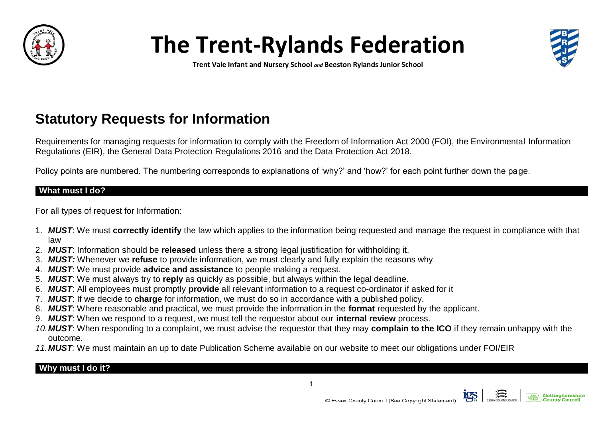

# **The Trent-Rylands Federation**



**Trent Vale Infant and Nursery School** *and* **Beeston Rylands Junior School**

## **Statutory Requests for Information**

Requirements for managing requests for information to comply with the Freedom of Information Act 2000 (FOI), the Environmental Information Regulations (EIR), the General Data Protection Regulations 2016 and the Data Protection Act 2018.

Policy points are numbered. The numbering corresponds to explanations of 'why?' and 'how?' for each point further down the page.

#### **What must I do?**

For all types of request for Information:

- 1. *MUST*: We must **correctly identify** the law which applies to the information being requested and manage the request in compliance with that law
- 2. *MUST*: Information should be **released** unless there a strong legal justification for withholding it.
- 3. *MUST:* Whenever we **refuse** to provide information, we must clearly and fully explain the reasons why
- 4. *MUST*: We must provide **advice and assistance** to people making a request.
- 5. *MUST*: We must always try to **reply** as quickly as possible, but always within the legal deadline.
- 6. *MUST*: All employees must promptly **provide** all relevant information to a request co-ordinator if asked for it
- 7. *MUST*: If we decide to **charge** for information, we must do so in accordance with a published policy.
- 8. *MUST*: Where reasonable and practical, we must provide the information in the **format** requested by the applicant.
- 9. *MUST*: When we respond to a request, we must tell the requestor about our **internal review** process.
- *10.MUST*: When responding to a complaint, we must advise the requestor that they may **complain to the ICO** if they remain unhappy with the outcome.
- *11.MUST:* We must maintain an up to date Publication Scheme available on our website to meet our obligations under FOI/EIR

### **Why must I do it?**



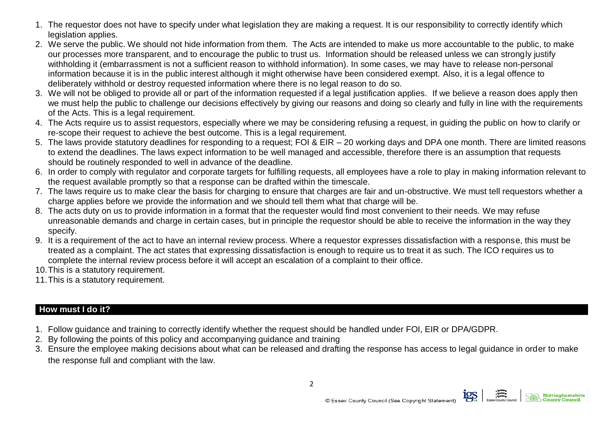- 1. The requestor does not have to specify under what legislation they are making a request. It is our responsibility to correctly identify which legislation applies.
- 2. We serve the public. We should not hide information from them. The Acts are intended to make us more accountable to the public, to make our processes more transparent, and to encourage the public to trust us. Information should be released unless we can strongly justify withholding it (embarrassment is not a sufficient reason to withhold information). In some cases, we may have to release non-personal information because it is in the public interest although it might otherwise have been considered exempt. Also, it is a legal offence to deliberately withhold or destroy requested information where there is no legal reason to do so.
- 3. We will not be obliged to provide all or part of the information requested if a legal justification applies. If we believe a reason does apply then we must help the public to challenge our decisions effectively by giving our reasons and doing so clearly and fully in line with the requirements of the Acts. This is a legal requirement.
- 4. The Acts require us to assist requestors, especially where we may be considering refusing a request, in guiding the public on how to clarify or re-scope their request to achieve the best outcome. This is a legal requirement.
- 5. The laws provide statutory deadlines for responding to a request; FOI & EIR 20 working days and DPA one month. There are limited reasons to extend the deadlines. The laws expect information to be well managed and accessible, therefore there is an assumption that requests should be routinely responded to well in advance of the deadline.
- 6. In order to comply with regulator and corporate targets for fulfilling requests, all employees have a role to play in making information relevant to the request available promptly so that a response can be drafted within the timescale.
- 7. The laws require us to make clear the basis for charging to ensure that charges are fair and un-obstructive. We must tell requestors whether a charge applies before we provide the information and we should tell them what that charge will be.
- 8. The acts duty on us to provide information in a format that the requester would find most convenient to their needs. We may refuse unreasonable demands and charge in certain cases, but in principle the requestor should be able to receive the information in the way they specify.
- 9. It is a requirement of the act to have an internal review process. Where a requestor expresses dissatisfaction with a response, this must be treated as a complaint. The act states that expressing dissatisfaction is enough to require us to treat it as such. The ICO requires us to complete the internal review process before it will accept an escalation of a complaint to their office.
- 10.This is a statutory requirement.
- 11.This is a statutory requirement.

### **How must I do it?**

- 1. Follow guidance and training to correctly identify whether the request should be handled under FOI, EIR or DPA/GDPR.
- 2. By following the points of this policy and accompanying guidance and training
- 3. Ensure the employee making decisions about what can be released and drafting the response has access to legal guidance in order to make the response full and compliant with the law.

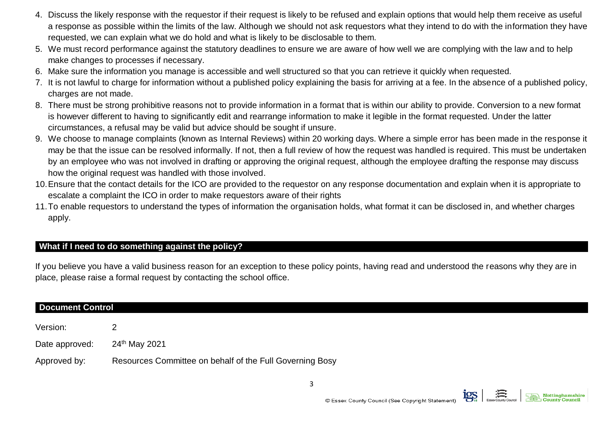- 4. Discuss the likely response with the requestor if their request is likely to be refused and explain options that would help them receive as useful a response as possible within the limits of the law. Although we should not ask requestors what they intend to do with the information they have requested, we can explain what we do hold and what is likely to be disclosable to them.
- 5. We must record performance against the statutory deadlines to ensure we are aware of how well we are complying with the law and to help make changes to processes if necessary.
- 6. Make sure the information you manage is accessible and well structured so that you can retrieve it quickly when requested.
- 7. It is not lawful to charge for information without a published policy explaining the basis for arriving at a fee. In the absence of a published policy, charges are not made.
- 8. There must be strong prohibitive reasons not to provide information in a format that is within our ability to provide. Conversion to a new format is however different to having to significantly edit and rearrange information to make it legible in the format requested. Under the latter circumstances, a refusal may be valid but advice should be sought if unsure.
- 9. We choose to manage complaints (known as Internal Reviews) within 20 working days. Where a simple error has been made in the response it may be that the issue can be resolved informally. If not, then a full review of how the request was handled is required. This must be undertaken by an employee who was not involved in drafting or approving the original request, although the employee drafting the response may discuss how the original request was handled with those involved.
- 10.Ensure that the contact details for the ICO are provided to the requestor on any response documentation and explain when it is appropriate to escalate a complaint the ICO in order to make requestors aware of their rights
- 11.To enable requestors to understand the types of information the organisation holds, what format it can be disclosed in, and whether charges apply.

#### **What if I need to do something against the policy?**

If you believe you have a valid business reason for an exception to these policy points, having read and understood the reasons why they are in place, please raise a formal request by contacting the school office.

| <b>Document Control</b> |                                                          |
|-------------------------|----------------------------------------------------------|
| Version:                |                                                          |
| Date approved:          | 24 <sup>th</sup> May 2021                                |
| Approved by:            | Resources Committee on behalf of the Full Governing Bosy |